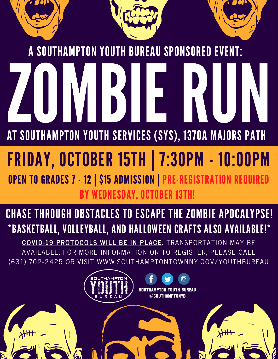

## FRIDAY, OCTOBER 15TH | 7:30PM - 10:00PM

OPEN TO GRADES 7 - 12 | \$15 ADMISSION | PRE-REGISTRATION REQUIRED BY WEDNESDAY, OCTOBER 13TH!

## CHASE THROUGH OBSTACLES TO ESCAPE THE ZOMBIE APOCALYPSE! \*BASKETBALL, VOLLEYBALL, AND HALLOWEEN CRAFTS ALSO AVAILABLE!\*

**COVID-19 PROTOCOLS WILL BE IN PLACE.** TRANSPORTATION MAY BE AVAILABLE. FOR MORE INFORMATION OR TO REGISTER, PLEASE CALL (631 ) 702-2425 OR VISIT WWW.SOUTHAMPTONTOWNNY.GOV/YOUTHBUREAU